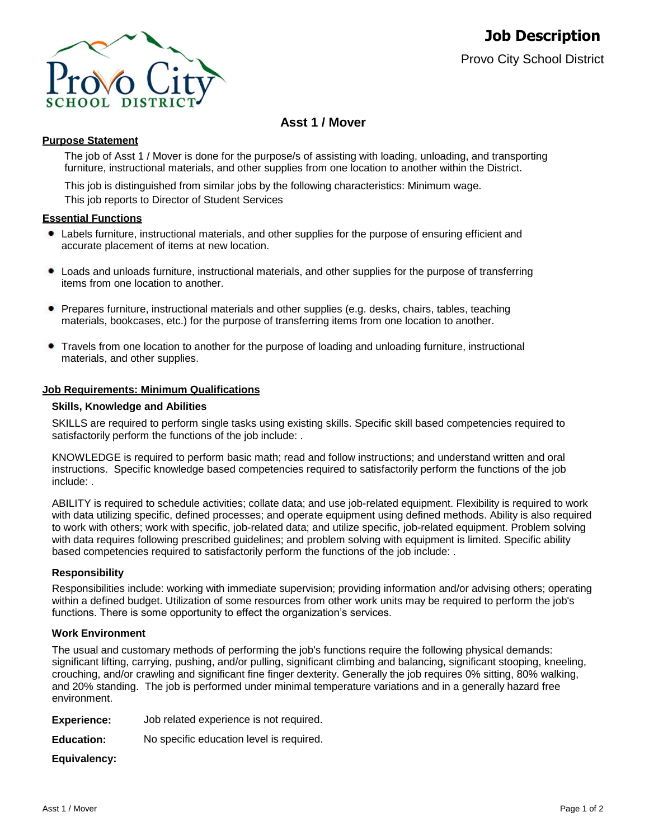

# **Asst 1 / Mover**

## **Purpose Statement**

The job of Asst 1 / Mover is done for the purpose/s of assisting with loading, unloading, and transporting furniture, instructional materials, and other supplies from one location to another within the District.

This job is distinguished from similar jobs by the following characteristics: Minimum wage. This job reports to Director of Student Services

### **Essential Functions**

- Labels furniture, instructional materials, and other supplies for the purpose of ensuring efficient and accurate placement of items at new location.
- Loads and unloads furniture, instructional materials, and other supplies for the purpose of transferring items from one location to another.
- Prepares furniture, instructional materials and other supplies (e.g. desks, chairs, tables, teaching materials, bookcases, etc.) for the purpose of transferring items from one location to another.
- Travels from one location to another for the purpose of loading and unloading furniture, instructional  $\bullet$ materials, and other supplies.

## **Job Requirements: Minimum Qualifications**

### **Skills, Knowledge and Abilities**

SKILLS are required to perform single tasks using existing skills. Specific skill based competencies required to satisfactorily perform the functions of the job include: .

KNOWLEDGE is required to perform basic math; read and follow instructions; and understand written and oral instructions. Specific knowledge based competencies required to satisfactorily perform the functions of the job include: .

ABILITY is required to schedule activities; collate data; and use job-related equipment. Flexibility is required to work with data utilizing specific, defined processes; and operate equipment using defined methods. Ability is also required to work with others; work with specific, job-related data; and utilize specific, job-related equipment. Problem solving with data requires following prescribed guidelines; and problem solving with equipment is limited. Specific ability based competencies required to satisfactorily perform the functions of the job include: .

### **Responsibility**

Responsibilities include: working with immediate supervision; providing information and/or advising others; operating within a defined budget. Utilization of some resources from other work units may be required to perform the job's functions. There is some opportunity to effect the organization's services.

## **Work Environment**

The usual and customary methods of performing the job's functions require the following physical demands: significant lifting, carrying, pushing, and/or pulling, significant climbing and balancing, significant stooping, kneeling, crouching, and/or crawling and significant fine finger dexterity. Generally the job requires 0% sitting, 80% walking, and 20% standing. The job is performed under minimal temperature variations and in a generally hazard free environment.

| <b>Experience:</b> |  |  | Job related experience is not required. |
|--------------------|--|--|-----------------------------------------|
|--------------------|--|--|-----------------------------------------|

**Education:** No specific education level is required.

**Equivalency:**